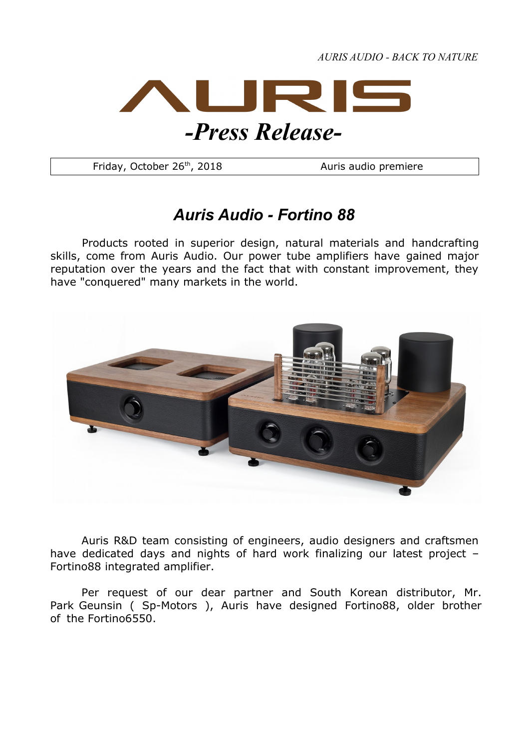*AURIS AUDIO - BACK TO NATURE*



Friday, October 26<sup>th</sup>, 2018 Auris audio premiere

## *Auris Audio - Fortino 88*

Products rooted in superior design, natural materials and handcrafting skills, come from Auris Audio. Our power tube amplifiers have gained major reputation over the years and the fact that with constant improvement, they have "conquered" many markets in the world.



Auris R&D team consisting of engineers, audio designers and craftsmen have dedicated days and nights of hard work finalizing our latest project – Fortino88 integrated amplifier.

Per request of our dear partner and South Korean distributor, Mr. Park Geunsin ( Sp-Motors ), Auris have designed Fortino88, older brother of the Fortino6550.